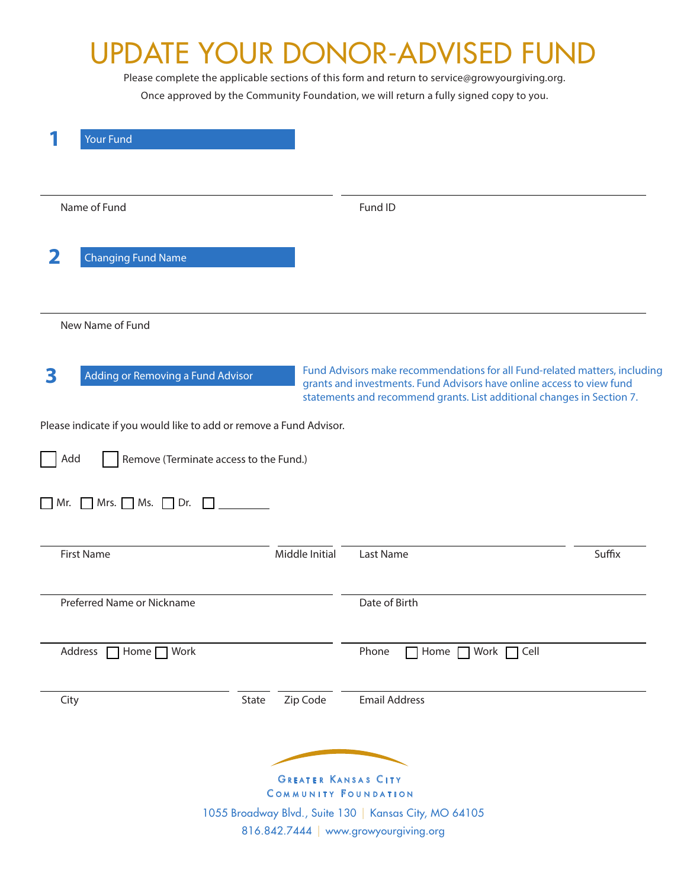## UPDATE YOUR DONOR-ADVISED FUND

Please complete the applicable sections of this form and return to service@growyourgiving.org. Once approved by the Community Foundation, we will return a fully signed copy to you.

| <b>Your Fund</b>                                                   |                                                                                                                                                                                                                               |
|--------------------------------------------------------------------|-------------------------------------------------------------------------------------------------------------------------------------------------------------------------------------------------------------------------------|
| Name of Fund                                                       | Fund ID                                                                                                                                                                                                                       |
| 2<br><b>Changing Fund Name</b>                                     |                                                                                                                                                                                                                               |
| New Name of Fund                                                   |                                                                                                                                                                                                                               |
| Adding or Removing a Fund Advisor<br>3                             | Fund Advisors make recommendations for all Fund-related matters, including<br>grants and investments. Fund Advisors have online access to view fund<br>statements and recommend grants. List additional changes in Section 7. |
| Please indicate if you would like to add or remove a Fund Advisor. |                                                                                                                                                                                                                               |
| Add<br>Remove (Terminate access to the Fund.)                      |                                                                                                                                                                                                                               |
|                                                                    |                                                                                                                                                                                                                               |
| $\Box$ Mr. $\Box$ Mrs. $\Box$ Ms. $\Box$ Dr. $\Box$                |                                                                                                                                                                                                                               |
| Middle Initial<br><b>First Name</b>                                | Suffix<br>Last Name                                                                                                                                                                                                           |
| Preferred Name or Nickname                                         | Date of Birth                                                                                                                                                                                                                 |
|                                                                    |                                                                                                                                                                                                                               |
| Address   Home   Work                                              | Phone<br>$\Box$ Home $\Box$ Work $\Box$ Cell                                                                                                                                                                                  |
| Zip Code<br>State<br>City                                          | <b>Email Address</b>                                                                                                                                                                                                          |
|                                                                    |                                                                                                                                                                                                                               |
|                                                                    | <b>GREATER KANSAS CITY</b>                                                                                                                                                                                                    |
|                                                                    | <b>COMMUNITY FOUNDATION</b>                                                                                                                                                                                                   |
|                                                                    | 1055 Broadway Blvd., Suite 130   Kansas City, MO 64105<br>816.842.7444   www.growyourgiving.org                                                                                                                               |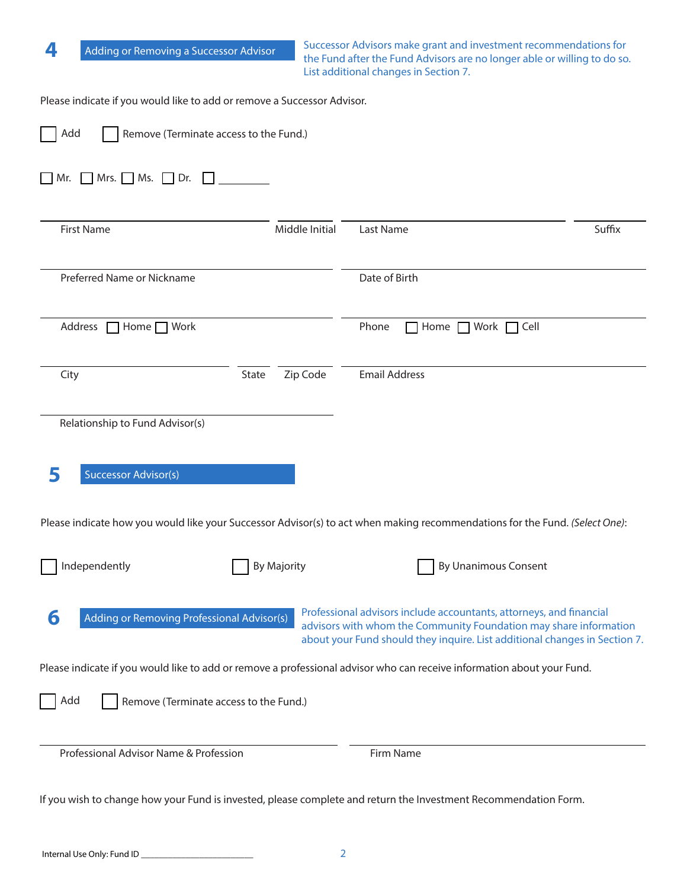| 4<br>Adding or Removing a Successor Advisor                                                                                 |                                        | Successor Advisors make grant and investment recommendations for<br>the Fund after the Fund Advisors are no longer able or willing to do so.<br>List additional changes in Section 7.                                  |                             |  |  |
|-----------------------------------------------------------------------------------------------------------------------------|----------------------------------------|------------------------------------------------------------------------------------------------------------------------------------------------------------------------------------------------------------------------|-----------------------------|--|--|
| Please indicate if you would like to add or remove a Successor Advisor.                                                     |                                        |                                                                                                                                                                                                                        |                             |  |  |
| Add                                                                                                                         | Remove (Terminate access to the Fund.) |                                                                                                                                                                                                                        |                             |  |  |
| Mrs. Ms. Dr.<br>  Mr.                                                                                                       |                                        |                                                                                                                                                                                                                        |                             |  |  |
| <b>First Name</b>                                                                                                           | Middle Initial                         | Last Name                                                                                                                                                                                                              | Suffix                      |  |  |
| Preferred Name or Nickname                                                                                                  |                                        | Date of Birth                                                                                                                                                                                                          |                             |  |  |
| Address<br>$\Box$ Home $\Box$ Work                                                                                          |                                        | Phone<br>Home $\Box$                                                                                                                                                                                                   | Work $\Box$ Cell            |  |  |
| City                                                                                                                        | Zip Code<br>State                      | <b>Email Address</b>                                                                                                                                                                                                   |                             |  |  |
| Relationship to Fund Advisor(s)                                                                                             |                                        |                                                                                                                                                                                                                        |                             |  |  |
| 5<br><b>Successor Advisor(s)</b>                                                                                            |                                        |                                                                                                                                                                                                                        |                             |  |  |
| Please indicate how you would like your Successor Advisor(s) to act when making recommendations for the Fund. (Select One): |                                        |                                                                                                                                                                                                                        |                             |  |  |
| Independently                                                                                                               | <b>By Majority</b>                     |                                                                                                                                                                                                                        | <b>By Unanimous Consent</b> |  |  |
| 6<br>Adding or Removing Professional Advisor(s)                                                                             |                                        | Professional advisors include accountants, attorneys, and financial<br>advisors with whom the Community Foundation may share information<br>about your Fund should they inquire. List additional changes in Section 7. |                             |  |  |
| Please indicate if you would like to add or remove a professional advisor who can receive information about your Fund.      |                                        |                                                                                                                                                                                                                        |                             |  |  |
| Add                                                                                                                         | Remove (Terminate access to the Fund.) |                                                                                                                                                                                                                        |                             |  |  |
| Professional Advisor Name & Profession                                                                                      |                                        | Firm Name                                                                                                                                                                                                              |                             |  |  |
| If you wish to change how your Fund is invested, please complete and return the Investment Recommendation Form.             |                                        |                                                                                                                                                                                                                        |                             |  |  |